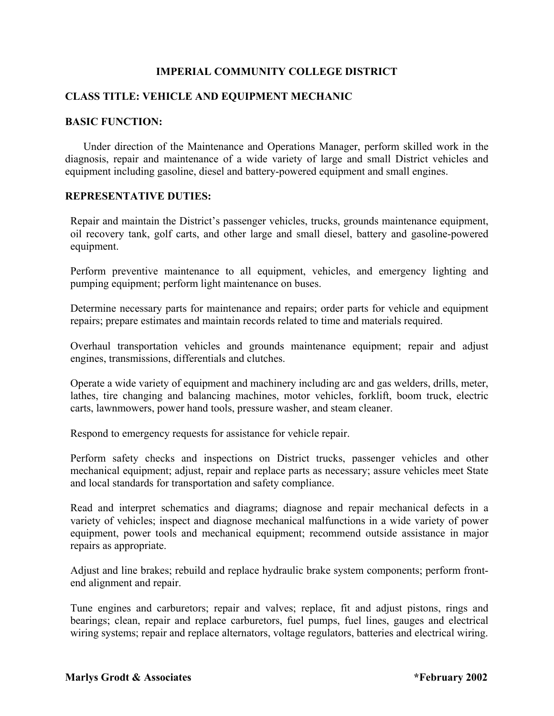# **IMPERIAL COMMUNITY COLLEGE DISTRICT**

# **CLASS TITLE: VEHICLE AND EQUIPMENT MECHANIC**

### **BASIC FUNCTION:**

 Under direction of the Maintenance and Operations Manager, perform skilled work in the diagnosis, repair and maintenance of a wide variety of large and small District vehicles and equipment including gasoline, diesel and battery-powered equipment and small engines.

### **REPRESENTATIVE DUTIES:**

Repair and maintain the District's passenger vehicles, trucks, grounds maintenance equipment, oil recovery tank, golf carts, and other large and small diesel, battery and gasoline-powered equipment.

Perform preventive maintenance to all equipment, vehicles, and emergency lighting and pumping equipment; perform light maintenance on buses.

Determine necessary parts for maintenance and repairs; order parts for vehicle and equipment repairs; prepare estimates and maintain records related to time and materials required.

Overhaul transportation vehicles and grounds maintenance equipment; repair and adjust engines, transmissions, differentials and clutches.

Operate a wide variety of equipment and machinery including arc and gas welders, drills, meter, lathes, tire changing and balancing machines, motor vehicles, forklift, boom truck, electric carts, lawnmowers, power hand tools, pressure washer, and steam cleaner.

Respond to emergency requests for assistance for vehicle repair.

Perform safety checks and inspections on District trucks, passenger vehicles and other mechanical equipment; adjust, repair and replace parts as necessary; assure vehicles meet State and local standards for transportation and safety compliance.

Read and interpret schematics and diagrams; diagnose and repair mechanical defects in a variety of vehicles; inspect and diagnose mechanical malfunctions in a wide variety of power equipment, power tools and mechanical equipment; recommend outside assistance in major repairs as appropriate.

Adjust and line brakes; rebuild and replace hydraulic brake system components; perform frontend alignment and repair.

Tune engines and carburetors; repair and valves; replace, fit and adjust pistons, rings and bearings; clean, repair and replace carburetors, fuel pumps, fuel lines, gauges and electrical wiring systems; repair and replace alternators, voltage regulators, batteries and electrical wiring.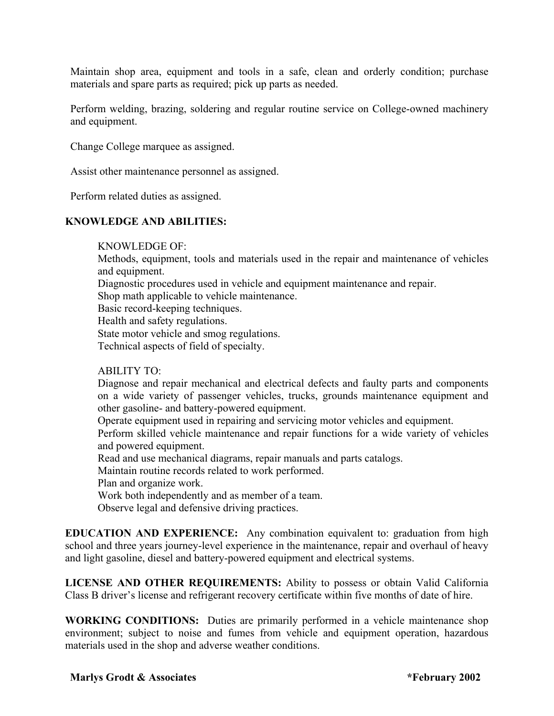Maintain shop area, equipment and tools in a safe, clean and orderly condition; purchase materials and spare parts as required; pick up parts as needed.

Perform welding, brazing, soldering and regular routine service on College-owned machinery and equipment.

Change College marquee as assigned.

Assist other maintenance personnel as assigned.

Perform related duties as assigned.

## **KNOWLEDGE AND ABILITIES:**

#### KNOWLEDGE OF:

Methods, equipment, tools and materials used in the repair and maintenance of vehicles and equipment.

Diagnostic procedures used in vehicle and equipment maintenance and repair.

Shop math applicable to vehicle maintenance.

Basic record-keeping techniques.

Health and safety regulations.

State motor vehicle and smog regulations.

Technical aspects of field of specialty.

## ABILITY TO:

Diagnose and repair mechanical and electrical defects and faulty parts and components on a wide variety of passenger vehicles, trucks, grounds maintenance equipment and other gasoline- and battery-powered equipment.

Operate equipment used in repairing and servicing motor vehicles and equipment.

Perform skilled vehicle maintenance and repair functions for a wide variety of vehicles and powered equipment.

Read and use mechanical diagrams, repair manuals and parts catalogs.

Maintain routine records related to work performed.

Plan and organize work.

Work both independently and as member of a team.

Observe legal and defensive driving practices.

**EDUCATION AND EXPERIENCE:** Any combination equivalent to: graduation from high school and three years journey-level experience in the maintenance, repair and overhaul of heavy and light gasoline, diesel and battery-powered equipment and electrical systems.

**LICENSE AND OTHER REQUIREMENTS:** Ability to possess or obtain Valid California Class B driver's license and refrigerant recovery certificate within five months of date of hire.

**WORKING CONDITIONS:** Duties are primarily performed in a vehicle maintenance shop environment; subject to noise and fumes from vehicle and equipment operation, hazardous materials used in the shop and adverse weather conditions.